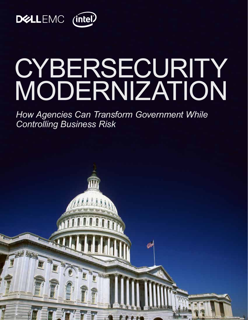

GETTYIMAGES.COM

# **CYBERSECURITY** MODERNIZATION

*How Agencies Can Transform Government While Controlling Business Risk*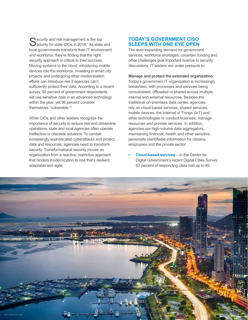S ecurity and risk management is the top<br>priority for state CIOs in 2018.<sup>1</sup> As state and local governments transform their IT environment and workforce, they're finding that the right security approach is critical to their success. Moving systems to the cloud, introducing mobile devices into the workforce, investing in smart city projects and undergoing other modernization efforts can introduce risk if agencies can't sufficiently protect their data. According to a recent survey, 92 percent of government respondents will use sensitive data in an advanced technology within the year, yet 96 percent consider themselves "vulnerable." 2

While CIOs and other leaders recognize the importance of security to reduce risk and streamline operations, state and local agencies often operate ineffective or obsolete solutions. To combat increasingly sophisticated cyberattacks and protect data and resources, agencies need to transform security. Transformational security moves an organization from a reactive, restrictive approach that hinders modernization to one that's resilient, adaptable and agile.

# **TODAY'S GOVERNMENT CISO SLEEPS WITH ONE EYE OPEN**

The ever-expanding demand for government services, workforce shortages, uncertain funding and other challenges give important nuance to security discussions. IT leaders are under pressure to:

#### **Manage and protect the extended organization.**

Today's government IT organization is increasingly borderless, with processes and services being consolidated, offloaded or shared across multiple internal and external resources. Besides the traditional on-premises data center, agencies rely on cloud-based services, shared services, mobile devices, the Internet of Things (IoT) and other technologies to conduct business, manage resources and provide services. In addition, agencies are high-volume data aggregators, maintaining financial, health and other sensitive personally identifiable information for citizens, employees and the private sector.

**• Cloud-based services –** In the Center for Digital Government's recent Digital Cities Survey, 93 percent of responding cities had up to 40

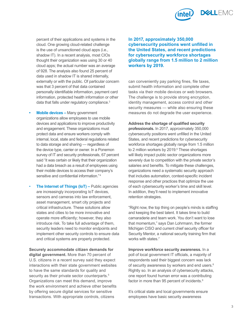

percent of their applications and systems in the cloud. One growing cloud-related challenge is the use of unsanctioned cloud apps (i.e., shadow IT). In a recent analysis, most CIOs thought their organization was using 30 or 40 cloud apps; the actual number was an average of 928. The analysis also found 25 percent of data used in shadow IT is shared internally, externally or with the public. Of particular concern was that 3 percent of that data contained personally identifiable information, payment card information, protected health information or other data that falls under regulatory compliance.<sup>3</sup>

- **• Mobile devices –** Many government organizations allow employees to use mobile devices and applications to improve productivity and engagement. These organizations must protect data and ensure workers comply with internal, local, state and federal regulations related to data storage and sharing — regardless of the device type, carrier or owner. In a Ponemon survey of IT and security professionals, 67 percent said "it was certain or likely that their organization had a data breach as a result of employees using their mobile devices to access their company's sensitive and confidential information."<sup>4</sup>
- **The Internet of Things (IoT) –** Public agencies are increasingly incorporating IoT devices, sensors and cameras into law enforcement, asset management, smart city projects and critical infrastructure. These solutions allow states and cities to be more innovative and operate more efficiently; however, they also introduce risk. To take full advantage of them, security leaders need to monitor endpoints and implement other security controls to ensure data and critical systems are properly protected.

**Securely accommodate citizen demands for digital government.** More than 70 percent of U.S. citizens in a recent survey said they expect interactions with their state government websites to have the same standards for quality and security as their private sector counterparts.<sup>5</sup> Organizations can meet this demand, improve the work environment and achieve other benefits by offering secure digital services for sensitive transactions. With appropriate controls, citizens

### **In 2017, approximately 350,000 cybersecurity positions went unfilled in the United States, and recent predictions for cybersecurity workforce shortages globally range from 1.5 million to 2 million workers by 2019.**

can conveniently pay parking fines, file taxes, submit health information and complete other tasks via their mobile devices or web browsers. The challenge is to provide strong encryption, identity management, access control and other security measures — while also ensuring these measures do not degrade the user experience.

**Address the shortage of qualified security professionals.** In 2017, approximately 350,000 cybersecurity positions went unfilled in the United States, and recent predictions for cybersecurity workforce shortages globally range from 1.5 million to 2 million workers by 2019.<sup>6</sup> These shortages will likely impact public sector organizations more severely due to competition with the private sector's salaries and benefits. To mitigate these challenges, organizations need a systematic security approach that includes automation, context-specific incident response and other practices that optimize the use of each cybersecurity worker's time and skill level. In addition, they'll need to implement innovative retention strategies.

"Right now, the top thing on people's minds is staffing and keeping the best talent. It takes time to build camaraderie and team work. You don't want to lose that momentum," says Dan Lohrmann, the former Michigan CISO and current chief security officer for Security Mentor, a national security training firm that works with states.<sup>7</sup>

**Improve workforce security awareness.** In a poll of local government IT officials, a majority of respondents said their biggest concern was lack of security awareness by workers and end users.<sup>8</sup> Rightly so. In an analysis of cybersecurity attacks, one report found human error was a contributing factor in more than 95 percent of incidents.<sup>9</sup>

It's critical state and local governments ensure employees have basic security awareness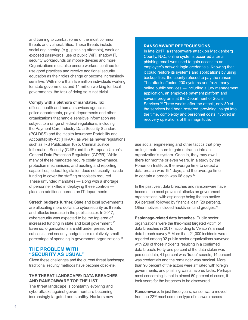and training to combat some of the most common threats and vulnerabilities. These threats include social engineering (e.g., phishing attempts), weak or exposed passwords, use of public WiFi, shadow IT, security workarounds on mobile devices and more. Organizations must also ensure workers continue to use good practices and receive additional security education as their roles change or become increasingly sensitive. With more than five million individuals working for state governments and 14 million working for local governments, the task of doing so is not trivial.

**Comply with a plethora of mandates.** Tax offices, health and human services agencies, police departments, payroll departments and other organizations that handle sensitive information are subject to a range of federal regulations, including the Payment Card Industry Data Security Standard (PCI-DSS) and the Health Insurance Portability and Accountability Act (HIPAA), as well as newer regulations such as IRS Publication 1075, Criminal Justice Information Security (CJIS) and the European Union's General Data Protection Regulation (GDPR). While many of these mandates require costly governance, protection mechanisms, and auditing and reporting capabilities, federal legislation does not usually include funding to cover the staffing or toolsets required. These unfunded mandates — along with a shortage of personnel skilled in deploying these controls place an additional burden on IT departments.

**Stretch budgets further.** State and local governments are allocating more dollars to cybersecurity as threats and attacks increase in the public sector. In 2017, cybersecurity was expected to be the top area of increased funding in state and local government.<sup>10</sup> Even so, organizations are still under pressure to cut costs, and security budgets are a relatively small percentage of spending in government organizations.11

# **THE PROBLEM WITH "SECURITY AS USUAL"**

Given these challenges and the current threat landscape, traditional security methods have become obsolete.

### **THE THREAT LANDSCAPE: DATA BREACHES AND RANSOMWARE TOP THE LIST**

The threat landscape is constantly evolving and cyberattacks against government are becoming increasingly targeted and stealthy. Hackers now

#### **RANSOMWARE REPERCUSSIONS**

In late 2017, a ransomware attack on Mecklenberg County, N.C., online systems occurred after a phishing email was used to gain access to an employee's network login credentials. Knowing that it could restore its systems and applications by using backup files, the county refused to pay the ransom. The attack affected 200 systems and froze many online public services — including a jury management application, an employee payment platform and several programs at the Department of Social Services.<sup>12</sup> Three weeks after the attack, only 80 of the services had been restored, providing insight into the time, complexity and personnel costs involved in recovery operations of this magnitude.13

use social engineering and other tactics that prey on legitimate users to gain entrance into an organization's system. Once in, they may dwell there for months or even years. In a study by the Ponemon Institute, the average time to detect a data breach was 191 days, and the average time to contain a breach was 66 days.<sup>14</sup>

In the past year, data breaches and ransomware have become the most prevalent attacks on government organizations, with espionage being the top motive (64 percent) followed by financial gain (20 percent). Other motives included hacktivism and grudges.15

**Espionage-related data breaches.** Public sector organizations were the third-most targeted victim of data breaches in 2017, according to Verizon's annual data breach survey.16 More than 21,000 incidents were reported among 92 public sector organizations surveyed, with 239 of those incidents resulting in a confirmed data breach. Forty-one percent of the data stolen was personal data, 41 percent was "trade" secrets, 14 percent was credentials and the remainder was medical. More than 90 percent of the actors were affiliated with foreign governments, and phishing was a favored tactic. Perhaps most concerning is that in almost 60 percent of cases, it took years for the breaches to be discovered.

**Ransomware.** In just three years, ransomware moved from the 22<sup>nd</sup>-most common type of malware across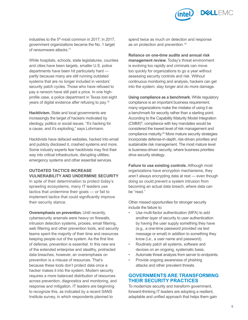

industries to the  $5<sup>th</sup>$ -most common in 2017; in 2017, government organizations became the No. 1 target of ransomware attacks<sup>17</sup>

While hospitals, schools, state legislatures, counties and cities have been targets, smaller U.S. police departments have been hit particularly hard partly because many are still running outdated systems that are no longer included in vendors' security patch cycles. Those who have refused to pay a ransom have still paid a price. In one highprofile case, a police department in Texas lost eight years of digital evidence after refusing to pay.18

**Hacktivism.** State and local governments are increasingly the target of hackers motivated by ideology, politics or social issues. "It's hacking for a cause, and it's exploding," says Lohrmann.

Hacktivists have defaced websites, hacked into email and publicly disclosed it, crashed systems and more. Some industry experts fear hacktivists may find their way into critical infrastructure, disrupting utilities, emergency systems and other essential services.

#### **OUTDATED TACTICS INCREASE VULNERABILITY AND UNDERMINE SECURITY**

In spite of their determination to protect today's sprawling ecosystems, many IT leaders use tactics that undermine their goals — or fail to implement tactics that could significantly improve their security stance.

**Overemphasis on prevention.** Until recently, cybersecurity arsenals were heavy on firewalls, intrusion detection systems, proxies, email filtering, web filtering and other prevention tools, and security teams spent the majority of their time and resources keeping people out of the system. As the first line of defense, prevention is essential. In this new era of the extended enterprise and stealthy, protracted data breaches, however, an overemphasis on prevention is a misuse of resources. That's because these tools don't protect data once a hacker makes it into the system. Modern security requires a more balanced distribution of resources across prevention, diagnostics and monitoring, and response and mitigation. IT leaders are beginning to recognize this, as indicated by a recent SANS Institute survey, in which respondents planned to

spend twice as much on detection and response as on protection and prevention.<sup>19</sup>

**Reliance on one-time audits and annual risk management review.** Today's threat environment is evolving too rapidly and criminals can move too quickly for organizations to go a year without assessing security controls and risk. Without continuous monitoring and analysis, hackers can get into the system, stay longer and do more damage.

**Using compliance as a benchmark.** While regulatory compliance is an important business requirement, many organizations make the mistake of using it as a benchmark for security rather than a starting point. According to the Capability Maturity Model Integration (CMMI)®, compliance with key mandates would be considered the lowest level of risk management and compliance maturity.<sup>20</sup> More mature security strategies incorporate defense-in-depth, risk-driven priorities and sustainable risk management. The most mature level is business-driven security, where business priorities drive security strategy.

**Failure to use existing controls.** Although most organizations have encryption mechanisms, they aren't always encrypting data at rest — even though doing so could prevent a system intrusion from becoming an actual data breach, where data can be "read."

Other missed opportunities for stronger security include the failure to:

- Use multi-factor authentication (MFA) to add another layer of security to user authentication by having the user supply something they have (e.g., a one-time password provided via text message or email) in addition to something they know (i.e., a user name and password).
- Routinely patch all systems, software and devices on an ongoing, systematic basis.
- Automate threat analysis from server to endpoints.
- Provide ongoing awareness of phishing attacks and other prevalent threats.

## **GOVERNMENTS ARE TRANSFORMING THEIR SECURITY PRACTICES**

To modernize security and transform government, forward-thinking IT leaders are adopting a resilient, adaptable and unified approach that helps them gain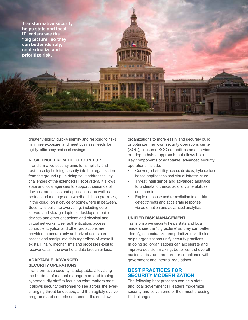

greater visibility; quickly identify and respond to risks; minimize exposure; and meet business needs for agility, efficiency and cost savings.

#### **RESILIENCE FROM THE GROUND UP**

Transformative security aims for simplicity and resilience by building security into the organization from the ground up. In doing so, it addresses key challenges of the extended IT ecosystem. It allows state and local agencies to support thousands of devices, processes and applications, as well as protect and manage data whether it is on premises, in the cloud, on a device or somewhere in between. Security is built into everything, including core servers and storage; laptops, desktops, mobile devices and other endpoints; and physical and virtual networks. User authentication, access control, encryption and other protections are provided to ensure only authorized users can access and manipulate data regardless of where it exists. Finally, mechanisms and processes exist to recover data in the event of a data breach or loss.

## **ADAPTABLE, ADVANCED SECURITY OPERATIONS**

Transformative security is adaptable, alleviating the burdens of manual management and freeing cybersecurity staff to focus on what matters most. It allows security personnel to see across the everchanging threat landscape, and then agilely evolve programs and controls as needed. It also allows

organizations to more easily and securely build or optimize their own security operations center (SOC), consume SOC capabilities as a service or adopt a hybrid approach that allows both. Key components of adaptable, advanced security operations include:

- Converged visibility across devices, hybrid/cloudbased applications and virtual infrastructure
- Threat intelligence and advanced analytics to understand trends, actors, vulnerabilities and threats
- Rapid response and remediation to quickly detect threats and accelerate response via automation and advanced analytics

#### **UNIFIED RISK MANAGEMENT**

Transformative security helps state and local IT leaders see the "big picture" so they can better identify, contextualize and prioritize risk. It also helps organizations unify security practices. In doing so, organizations can accelerate and improve decision-making, better control overall business risk, and prepare for compliance with government and internal regulations.

# **BEST PRACTICES FOR SECURITY MODERNIZATION**

The following best practices can help state and local government IT leaders modernize security and solve some of their most pressing IT challenges: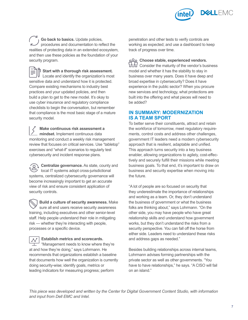

**Go back to basics.** Update policies, procedures and documentation to reflect the realities of protecting data in an extended ecosystem, and then use these policies as the foundation of your security program.

**Start with a thorough risk assessment.** Locate and identify the organization's most sensitive data and understand how it is protected. Compare existing mechanisms to industry best practices and your updated policies, and then build a plan to get to the new model. It's okay to use cyber insurance and regulatory compliance checklists to begin the conversation, but remember that compliance is the most basic stage of a mature security model.

**Make continuous risk assessment a mindset.** Implement continuous data monitoring and conduct a weekly risk management review that focuses on critical services. Use "tabletop" exercises and "what-if" scenarios to regularly test cybersecurity and incident response plans.

**Centralize governance.** As state, county and local IT systems adopt cross-jurisdictional systems, centralized cybersecurity governance will become increasingly important to get an accurate view of risk and ensure consistent application of security controls.

**Build a culture of security awareness.** Make sure all end users receive security awareness training, including executives and other senior-level staff. Help people understand their role in mitigating risk — whether they're interacting with people, processes or a specific device.

**Establish metrics and scorecards.**  $\mathcal{N}$ "Management needs to know where they're at and how they're doing," says Lohrmann. He recommends that organizations establish a baseline that documents how well the organization is currently doing security-wise; identify goals, metrics or leading indicators for measuring progress; perform

penetration and other tests to verify controls are working as expected; and use a dashboard to keep track of progress over time.

**Choose stable, experienced vendors.** <u>PH</u><br>ULLU Consider the maturity of the vendor's business model and whether it has the stability to stay in business over many years. Does it have deep and broad expertise in cybersecurity? Does it have experience in the public sector? When you procure new services and technology, what protections are built into the offering and what pieces will need to be added?

# **IN SUMMARY: MODERNIZATION IS A TEAM SPORT**

To better serve their constituents, attract and retain the workforce of tomorrow, meet regulatory requirements, control costs and address other challenges, government IT leaders need a modern cybersecurity approach that is resilient, adaptable and unified. This approach turns security into a key business enabler, allowing organizations to agilely, cost-effectively and securely fulfill their missions while meeting business goals. To that end, it's important to draw on business and security expertise when moving into the future.

"A lot of people are so focused on security that they underestimate the importance of relationships and working as a team. Or, they don't understand the business of government or what the business folks are thinking about," says Lohrmann. "On the other side, you may have people who have great relationship skills and understand how government works, but they don't understand the risks from a security perspective. You can fall off the horse from either side. Leaders need to understand these risks and address gaps as needed."

Besides building relationships across internal teams, Lohrmann advises forming partnerships with the private sector as well as other governments. "You have to have relationships," he says. "A CISO will fail on an island."

*This piece was developed and written by the Center for Digital Government Content Studio, with information and input from Dell EMC and Intel.*